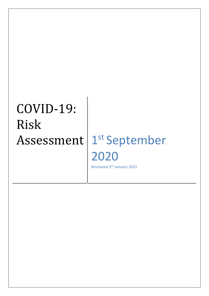# COVID-19: Risk

#### Assessment | 1<sup>st</sup> September 2020 Reviewed 3rd January 2022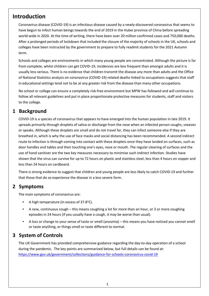#### **Introduction**

Coronavirus disease (COVID-19) is an infectious disease caused by a newly-discovered coronavirus that seems to have begun to infect human beings towards the end of 2019 in the Hubei province of China before spreading world-wide in 2020. At the time of writing, there have been over 20 million confirmed cases and 750,000 deaths. After a prolonged periods of lockdown that included the closure of the majority of schools in the UK, schools and colleges have been instructed by the government to prepare to fully readmit students for the 2021 Autumn term.

Schools and colleges are environments in which many young people are concentrated. Although the picture is far from complete, whilst children can get COVID-19, incidences are less frequent than amongst adults and it is usually less serious. There is no evidence that children transmit the disease any more than adults and the Office of National Statistics analysis on coronavirus (COVID-19) related deaths linked to occupations suggests that staff in educational settings tend not to be at any greater risk from the disease than many other occupations.

No school or college can ensure a completely risk-free environment but MPW has followed and will continue to follow all relevant guidelines and put in place proportionate protective measures for students, staff and visitors to the college.

#### **1 Background**

COVID-19 is a species of coronavirus that appears to have emerged into the human population in late 2019. It spreads primarily through droplets of saliva or discharge from the nose when an infected person coughs, sneezes or speaks. Although these droplets are small and do not travel far, they can infect someone else if they are breathed in, which is why the use of face masks and social distancing has been recommended. A second indirect route to infection is through coming into contact with these droplets once they have landed on surfaces, such as door handles and tables and then touching one's eyes, nose or mouth. The regular cleaning of surfaces and the use of hand sanitiser are the two key measures necessary to minimise such indirect infection. Studies have shown that the virus can survive for up to 72 hours on plastic and stainless steel, less than 4 hours on copper and less than 24 hours on cardboard.

There is strong evidence to suggest that children and young people are less likely to catch COVID-19 and further that those that do so experience the disease in a less severe form.

#### **2 Symptoms**

The main symptoms of coronavirus are:

- A high temperature (in excess of 37.8 $^{\circ}$ C).
- A new, continuous cough this means coughing a lot for more than an hour, or 3 or more coughing episodes in 24 hours (if you usually have a cough, it may be worse than usual).
- A loss or change to your sense of taste or smell (anosmia) this means you have noticed you cannot smell or taste anything, or things smell or taste different to normal.

#### **3 System of Controls**

The UK Government has provided comprehensive guidance regarding the day-to-day operation of a school during the pandemic. The key points are summarized below, but full details can be found at: <https://www.gov.uk/government/collections/guidance-for-schools-coronavirus-covid-19>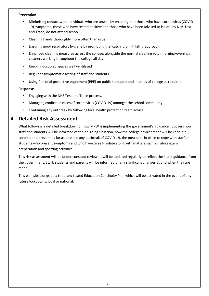#### **Prevention**

- Minimising contact with individuals who are unwell by ensuring that those who have coronavirus (COVID-19) symptoms, those who have tested positive and those who have been advised to isolate by NHS Test and Trace, do not attend school.
- Cleaning hands thoroughly more often than usual.
- Ensuring good respiratory hygiene by promoting the 'catch it, bin it, kill it' approach.
- Enhanced cleaning measures across the college: alongside the normal cleaning rota (morning/evening), cleaners working throughout the college all day.
- Keeping occupied spaces well ventilated
- Regular asymptomatic testing of staff and students
- Using Personal protective equipment (PPE) on public transport and in areas of college as required

#### **Response**

- Engaging with the NHS Test and Trace process.
- Managing confirmed cases of coronavirus (COVID-19) amongst the school community.
- Containing any outbreak by following local health protection team advice.

#### **4 Detailed Risk Assessment**

What follows is a detailed breakdown of how MPW is implementing the government's guidance. It covers how staff and students will be informed of the on-going situation, how the college environment will be kept in a condition to prevent as far as possible any outbreak of COVID-19, the measures in place to cope with staff or students who present symptoms and who have to self-isolate along with matters such as future exam preparation and sporting activities.

This risk assessment will be under constant review. It will be updated regularly to reflect the latest guidance from the government. Staff, students and parents will be informed of any significant changes as and when they are made.

This plan sits alongside a tried and tested Education Continuity Plan which will be activated in the event of any future lockdowns, local or national.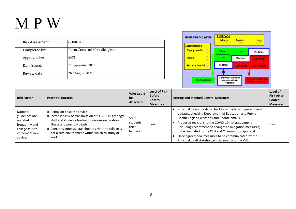| <b>Risk Assessment:</b> | COVID-19                       |
|-------------------------|--------------------------------|
| Completed by:           | Adam Cross and Mark Shingleton |
| Approved by:            | <b>SMT</b>                     |
| Date issued:            | 1 <sup>st</sup> September 2020 |
| Review date:            | $26th$ August 2021             |



| <b>Risk Factor</b>                                                                                      | <b>Potential Hazards</b>                                                                                                                                                                                                                                                                  | <b>Who Could</b><br>be<br>Affected?      | <b>Level of Risk</b><br><b>Before</b><br>Control<br><b>Measures</b> | <b>Existing and Planned Control Measures</b>                                                                                                                                                                                                                                                                                                                                                                                                             | Level of<br><b>Risk After</b><br><b>Control</b><br><b>Measures</b> |
|---------------------------------------------------------------------------------------------------------|-------------------------------------------------------------------------------------------------------------------------------------------------------------------------------------------------------------------------------------------------------------------------------------------|------------------------------------------|---------------------------------------------------------------------|----------------------------------------------------------------------------------------------------------------------------------------------------------------------------------------------------------------------------------------------------------------------------------------------------------------------------------------------------------------------------------------------------------------------------------------------------------|--------------------------------------------------------------------|
| National<br>guidelines are<br>updated<br>frequently and<br>college fails to<br>implement new<br>advice. | o Acting on obsolete advice<br>o Increased risk of transmission of COVID-19 amongst<br>staff and students leading to serious respiratory<br>illness and possibly death<br>o Concerns amongst stakeholders that the college is<br>not a safe environment within which to study or<br>work. | Staff,<br>students,<br>their<br>families | Low                                                                 | Principal to ensure daily checks are made with government<br>updates, checking Department of Education and Public<br>Health England websites and update emails.<br>Proposed revisions to the COVID-19 risk assessment<br>(including recommended changes to mitigation measures).<br>to be circulated to the CEO and Chairman for approval.<br>Once agreed new measures to be communicated by the<br>Principal to all stakeholders via email and the VLE. | Low                                                                |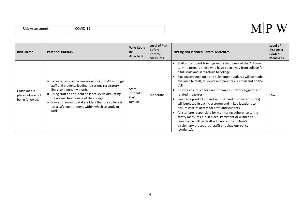|  | Risk Assessment: |
|--|------------------|
|--|------------------|

#### $M|P|W$

| <b>Risk Factor</b>                                    | <b>Potential Hazards</b>                                                                                                                                                                                                                                                                                                                                      | <b>Who Could</b><br>be<br>Affected?      | <b>Level of Risk</b><br><b>Before</b><br><b>Control</b><br><b>Measures</b> | <b>Existing and Planned Control Measures</b>                                                                                                                                                                                                                                                                                                                                                                                                                                                                                                                                                                                                                                                                                                                                                                               | Level of<br><b>Risk After</b><br><b>Control</b><br><b>Measures</b> |
|-------------------------------------------------------|---------------------------------------------------------------------------------------------------------------------------------------------------------------------------------------------------------------------------------------------------------------------------------------------------------------------------------------------------------------|------------------------------------------|----------------------------------------------------------------------------|----------------------------------------------------------------------------------------------------------------------------------------------------------------------------------------------------------------------------------------------------------------------------------------------------------------------------------------------------------------------------------------------------------------------------------------------------------------------------------------------------------------------------------------------------------------------------------------------------------------------------------------------------------------------------------------------------------------------------------------------------------------------------------------------------------------------------|--------------------------------------------------------------------|
| Guidelines in<br>place but are not<br>being followed. | o Increased risk of transmission of COVID-19 amongst<br>staff and students leading to serious respiratory<br>illness and possibly death.<br>o Rising staff and student absence levels disrupting<br>the normal functioning of the college.<br>o Concerns amongst stakeholders that the college is<br>not a safe environment within which to study or<br>work. | Staff,<br>students,<br>their<br>families | Moderate                                                                   | Staff and student briefings in the first week of the Autumn<br>term to prepare those who have been away from college for<br>a full scale and safe return to college.<br>Explanatory guidance and subsequent updates will be made<br>available to staff, students and parents via email and on the<br>VLE.<br>Posters around college reinforcing respiratory hygiene and<br>related measures.<br>Sanitising products (hand sanitiser and disinfectant spray)<br>will beplaced in each classroom and in key locations to<br>ensure ease of access for staff and students.<br>All staff are responsible for monitoring adherence to the<br>safety measures put in place. Persistent or wilful non-<br>compliance will be dealt with under the college's<br>disciplinary procedures (staff) or behaviour policy<br>(students). | Low                                                                |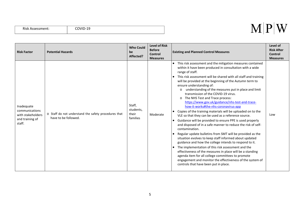|  | Risk Assessment: |
|--|------------------|
|--|------------------|

| <b>Risk Factor</b>                                                             | <b>Potential Hazards</b>                                                     | <b>Who Could</b><br>be<br>Affected?      | <b>Level of Risk</b><br><b>Before</b><br>Control<br><b>Measures</b> | <b>Existing and Planned Control Measures</b>                                                                                                                                                                                                                                                                                                                                                                                                                                                                                                                                                                                                                                                                                                                                                                                                                                                                                                                                                                                                                                                                                                                                                                                                                                                                        | Level of<br><b>Risk After</b><br>Control<br><b>Measures</b> |
|--------------------------------------------------------------------------------|------------------------------------------------------------------------------|------------------------------------------|---------------------------------------------------------------------|---------------------------------------------------------------------------------------------------------------------------------------------------------------------------------------------------------------------------------------------------------------------------------------------------------------------------------------------------------------------------------------------------------------------------------------------------------------------------------------------------------------------------------------------------------------------------------------------------------------------------------------------------------------------------------------------------------------------------------------------------------------------------------------------------------------------------------------------------------------------------------------------------------------------------------------------------------------------------------------------------------------------------------------------------------------------------------------------------------------------------------------------------------------------------------------------------------------------------------------------------------------------------------------------------------------------|-------------------------------------------------------------|
| Inadequate<br>communications<br>with stakeholders<br>and training of<br>staff. | o Staff do not understand the safety procedures that<br>have to be followed. | Staff,<br>students,<br>their<br>families | Moderate                                                            | This risk assessment and the mitigation measures contained<br>$\bullet$<br>within it have been produced in consultation with a wide<br>range of staff.<br>This risk assessment will be shared with all staff and training<br>will be provided at the beginning of the Autumn term to<br>ensure understanding of:<br>understanding of the measures put in place and limit<br>$\circ$<br>transmission of the COVID-19 virus.<br>The NHS Test and Trace process:<br>$\circ$<br>https://www.gov.uk/guidance/nhs-test-and-trace-<br>how-it-works#the-nhs-coronavirus-app<br>Copies of the training materials will be uploaded on to the<br>VLE so that they can be used as a reference source.<br>Guidance will be provided to ensure PPE is used properly<br>$\bullet$<br>and disposed of in a safe manner to reduce the risk of self-<br>contamination.<br>Regular update bulletins from SMT will be provided as the<br>situation evolves to keep staff informed about updated<br>guidance and how the college intends to respond to it.<br>The implementation of this risk assessment and the<br>effectiveness of the measures in place will be a standing<br>agenda item for all college committees to promote<br>engagement and monitor the effectiveness of the system of<br>controls that have been put in place. | Low                                                         |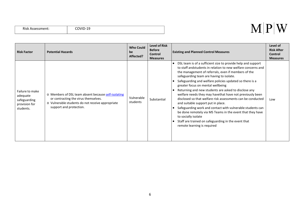| Risk Assessment: |  |
|------------------|--|
|------------------|--|

#### $M|P|W$

| <b>Risk Factor</b>                                                        | <b>Potential Hazards</b>                                                                                                                                                   | <b>Who Could</b><br>be<br>Affected? | <b>Level of Risk</b><br><b>Before</b><br><b>Control</b><br><b>Measures</b> | <b>Existing and Planned Control Measures</b>                                                                                                                                                                                                                                                                                                                                                                                                                                                                                                                                                                                                                                                                                                                                                                    | Level of<br><b>Risk After</b><br>Control<br><b>Measures</b> |
|---------------------------------------------------------------------------|----------------------------------------------------------------------------------------------------------------------------------------------------------------------------|-------------------------------------|----------------------------------------------------------------------------|-----------------------------------------------------------------------------------------------------------------------------------------------------------------------------------------------------------------------------------------------------------------------------------------------------------------------------------------------------------------------------------------------------------------------------------------------------------------------------------------------------------------------------------------------------------------------------------------------------------------------------------------------------------------------------------------------------------------------------------------------------------------------------------------------------------------|-------------------------------------------------------------|
| Failure to make<br>adequate<br>safeguarding<br>provision for<br>students. | o Members of DSL team absent because self-isolating<br>or contracting the virus themselves.<br>o Vulnerable students do not receive appropriate<br>support and protection. | Vulnerable<br>students              | Substantial                                                                | DSL team is of a sufficient size to provide help and support<br>$\bullet$<br>to staff and students in relation to new welfare concerns and<br>the management of referrals, even if members of the<br>safeguarding team are having to isolate.<br>Safeguarding and welfare policies updated so there is a<br>greater focus on mental wellbeing<br>Returning and new students are asked to disclose any<br>welfare needs they may have that have not previously been<br>disclosed so that welfare risk assessments can be conducted<br>and suitable support put in place.<br>Safeguarding work and contact with vulnerable students can<br>be done remotely via MS Teams in the event that they have<br>to socially isolate<br>Staff are trained on safeguarding in the event that<br>remote learning is required | Low                                                         |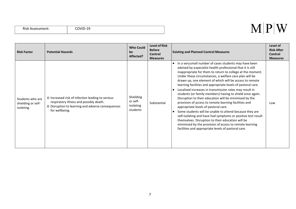|  | Risk Assessment: |
|--|------------------|
|--|------------------|

| <b>Risk Factor</b>                                   | <b>Potential Hazards</b>                                                                                                                                           | <b>Who Could</b><br>be<br>Affected?            | <b>Level of Risk</b><br><b>Before</b><br>Control<br><b>Measures</b> | <b>Existing and Planned Control Measures</b>                                                                                                                                                                                                                                                                                                                                                                                                                                                                                                                                                                                                                                                                                                                                                                                                                                                                                                                 | Level of<br><b>Risk After</b><br>Control<br><b>Measures</b> |
|------------------------------------------------------|--------------------------------------------------------------------------------------------------------------------------------------------------------------------|------------------------------------------------|---------------------------------------------------------------------|--------------------------------------------------------------------------------------------------------------------------------------------------------------------------------------------------------------------------------------------------------------------------------------------------------------------------------------------------------------------------------------------------------------------------------------------------------------------------------------------------------------------------------------------------------------------------------------------------------------------------------------------------------------------------------------------------------------------------------------------------------------------------------------------------------------------------------------------------------------------------------------------------------------------------------------------------------------|-------------------------------------------------------------|
| Students who are<br>shielding or self-<br>isolating. | o Increased risk of infection leading to serious<br>respiratory illness and possibly death.<br>O Disruption to learning and adverse consequences<br>for wellbeing. | Shielding<br>or self-<br>isolating<br>students | Substantial                                                         | In a verysmall number of cases students may have been<br>advised by aspecialist health professional that it is still<br>inappropriate for them to return to college at the moment.<br>Under these circumstances, a welfare care plan will be<br>drawn up, one element of which will be access to remote<br>learning facilities and appropriate levels of pastoral care.<br>Localised increases in transmission rates may result in<br>students (or family members) having to shield once again.<br>Disruption to their education will be minimised by the<br>provision of access to remote learning facilities and<br>appropriate levels of pastoral care.<br>Some students will be unable to attend because they are<br>self-isolating and have had symptoms or positive test result<br>themselves. Disruption to their education will be<br>minimised by the provision of access to remote learning<br>facilities and appropriate levels of pastoral care. | Low                                                         |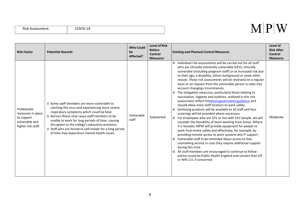|  | Risk Assessment: |
|--|------------------|
|--|------------------|

| <b>Risk Factor</b>                                                                    | <b>Potential Hazards</b>                                                                                                                                                                                                                                                                                                                                                                                            | <b>Who Could</b><br>be<br>Affected? | <b>Level of Risk</b><br><b>Before</b><br><b>Control</b><br><b>Measures</b> | <b>Existing and Planned Control Measures</b>                                                                                                                                                                                                                                                                                                                                                                                                                                                                                                                                                                                                                                                                                                                                                                                                                                                                                                                                                                                                                                                                                                                                                                                                                                                                                                                                                                                 | Level of<br><b>Risk After</b><br>Control<br><b>Measures</b> |
|---------------------------------------------------------------------------------------|---------------------------------------------------------------------------------------------------------------------------------------------------------------------------------------------------------------------------------------------------------------------------------------------------------------------------------------------------------------------------------------------------------------------|-------------------------------------|----------------------------------------------------------------------------|------------------------------------------------------------------------------------------------------------------------------------------------------------------------------------------------------------------------------------------------------------------------------------------------------------------------------------------------------------------------------------------------------------------------------------------------------------------------------------------------------------------------------------------------------------------------------------------------------------------------------------------------------------------------------------------------------------------------------------------------------------------------------------------------------------------------------------------------------------------------------------------------------------------------------------------------------------------------------------------------------------------------------------------------------------------------------------------------------------------------------------------------------------------------------------------------------------------------------------------------------------------------------------------------------------------------------------------------------------------------------------------------------------------------------|-------------------------------------------------------------|
| Inadequate<br>measures in place<br>to support<br>vulnerable and<br>higher risk staff. | o Some staff members are more vulnerable to<br>catching the virus and experiencing more severe<br>respiratory symptoms which could be fatal.<br>o Serious illness may cause staff members to be<br>unable to work for long periods of time, causing<br>disruption to the college's education provision.<br>o Staff who are forced to self-isolate for a long period<br>of time may experience mental health issues. | Vulnerable<br>staff                 | Substantial                                                                | Individual risk assessments will be carried out for all staff<br>$\Omega$<br>who are clinically extremely vulnerable (CEV), clinically<br>vulnerable (including pregnant staff) or at increased risk due<br>to their age, a disability, ethnic background or some other<br>reason. These risk assessments will be reviewed on a regular<br>basis or on request from the vulnerable person to take into<br>account changing circumstances.<br>o The mitigation measures, particularly those relating to<br>vaccination, hygiene and isolation, outlined in this risk<br>assessment reflect the latest government guidance and<br>should allow most staff toreturn to work safely.<br>O Sanitising products will be available to all staff and face<br>coverings will be provided where necessary<br>O For employees who are CEV or live with CEV people, we will<br>consider the feasibility of them working from home. Where<br>it is feasible, MPW will provide equipment for people to<br>work from home safely and effectively; for example, by<br>providing remote access to work systems and IT support.<br>Vulnerable staff to be reminded about access to free<br>$\Omega$<br>counselling service in case they require additional support<br>during this time.<br>o All staff members are encouraged to continue to follow<br>advice issued by Public Health England and contact their GP<br>or NHS 111 if concerned. | Moderate                                                    |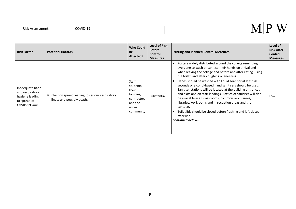|  | Risk Assessment: |
|--|------------------|
|--|------------------|

#### $M|P|W$

| <b>Risk Factor</b>                                                                       | <b>Potential Hazards</b>                                                         | <b>Who Could</b><br>be<br>Affected?                                                       | <b>Level of Risk</b><br><b>Before</b><br><b>Control</b><br><b>Measures</b> | <b>Existing and Planned Control Measures</b>                                                                                                                                                                                                                                                                                                                                                                                                                                                                                                                                                                                                                                                                               | Level of<br><b>Risk After</b><br><b>Control</b><br><b>Measures</b> |
|------------------------------------------------------------------------------------------|----------------------------------------------------------------------------------|-------------------------------------------------------------------------------------------|----------------------------------------------------------------------------|----------------------------------------------------------------------------------------------------------------------------------------------------------------------------------------------------------------------------------------------------------------------------------------------------------------------------------------------------------------------------------------------------------------------------------------------------------------------------------------------------------------------------------------------------------------------------------------------------------------------------------------------------------------------------------------------------------------------------|--------------------------------------------------------------------|
| Inadequate hand<br>and respiratory<br>hygiene leading<br>to spread of<br>COVID-19 virus. | o Infection spread leading to serious respiratory<br>illness and possibly death. | Staff,<br>students,<br>their<br>families,<br>contractor,<br>and the<br>wider<br>community | Substantial                                                                | Posters widely distributed around the college reminding<br>everyone to wash or sanitise their hands on arrival and<br>when leaving the college and before and after eating, using<br>the toilet, and after coughing or sneezing.<br>Hands should be washed with liquid soap for at least 20<br>seconds or alcohol-based hand sanitisers should be used.<br>Sanitiser stations will be located at the building entrances<br>and exits and on stair landings. Bottles of sanitiser will also<br>be available in all classrooms, common room areas,<br>libraries/workrooms and in reception areas and the<br>canteen.<br>Toilet lids should be closed before flushing and left closed<br>after use.<br><b>Continued below</b> | Low                                                                |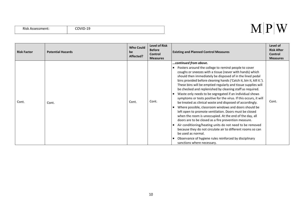| <b>Risk Assessment:</b> |
|-------------------------|
|-------------------------|

| <b>Risk Factor</b> | <b>Potential Hazards</b> | <b>Who Could</b><br>be<br>Affected? | <b>Level of Risk</b><br><b>Before</b><br>Control<br><b>Measures</b> | <b>Existing and Planned Control Measures</b>                                                                                                                                                                                                                                                                                                                                                                                                                                                                                                                                                                                                                                                                                                                                                                                                                                                                                                                                                                                                                                             | Level of<br><b>Risk After</b><br>Control<br><b>Measures</b> |
|--------------------|--------------------------|-------------------------------------|---------------------------------------------------------------------|------------------------------------------------------------------------------------------------------------------------------------------------------------------------------------------------------------------------------------------------------------------------------------------------------------------------------------------------------------------------------------------------------------------------------------------------------------------------------------------------------------------------------------------------------------------------------------------------------------------------------------------------------------------------------------------------------------------------------------------------------------------------------------------------------------------------------------------------------------------------------------------------------------------------------------------------------------------------------------------------------------------------------------------------------------------------------------------|-------------------------------------------------------------|
| Cont.              | Cont.                    | Cont.                               | Cont.                                                               | continued from above.<br>Posters around the college to remind people to cover<br>coughs or sneezes with a tissue (never with hands) which<br>should then immediately be disposed of in the lined pedal<br>bins provided before cleaning hands ('Catch it, bin it, kill it.').<br>These bins will be emptied regularly and tissue supplies will<br>be checked and replenished by cleaning staff as required.<br>Waste only needs to be segregated if an individual shows<br>symptoms or tests positive for the virus. If this occurs, it will<br>be treated as clinical waste and disposed of accordingly.<br>Where possible, classroom windows and doors should be<br>left open to promote ventilation. Doors must be closed<br>when the room is unoccupied. At the end of the day, all<br>doors are to be closed as a fire prevention measure.<br>Air conditioning/heating units do not need to be removed<br>because they do not circulate air to different rooms so can<br>be used as normal.<br>Observance of hygiene rules reinforced by disciplinary<br>sanctions where necessary. | Cont.                                                       |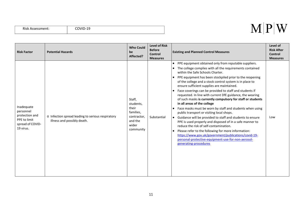| Risk Assessment: |  |
|------------------|--|
|------------------|--|

| <b>Risk Factor</b>                                                                         | <b>Potential Hazards</b>                                                         | <b>Who Could</b><br>be<br>Affected?                                                       | <b>Level of Risk</b><br><b>Before</b><br>Control<br><b>Measures</b> | <b>Existing and Planned Control Measures</b>                                                                                                                                                                                                                                                                                                                                                                                                                                                                                                                                                                                                                                                                                                                                                                                                                                                                                                                                                                                                                       | Level of<br><b>Risk After</b><br><b>Control</b><br><b>Measures</b> |
|--------------------------------------------------------------------------------------------|----------------------------------------------------------------------------------|-------------------------------------------------------------------------------------------|---------------------------------------------------------------------|--------------------------------------------------------------------------------------------------------------------------------------------------------------------------------------------------------------------------------------------------------------------------------------------------------------------------------------------------------------------------------------------------------------------------------------------------------------------------------------------------------------------------------------------------------------------------------------------------------------------------------------------------------------------------------------------------------------------------------------------------------------------------------------------------------------------------------------------------------------------------------------------------------------------------------------------------------------------------------------------------------------------------------------------------------------------|--------------------------------------------------------------------|
| Inadequate<br>personnel<br>protection and<br>PPE to limit<br>spread of COVID-<br>19 virus. | o Infection spread leading to serious respiratory<br>illness and possibly death. | Staff,<br>students,<br>their<br>families,<br>contractor,<br>and the<br>wider<br>community | Substantial                                                         | PPE equipment obtained only from reputable suppliers.<br>$\bullet$<br>The college complies with all the requirements contained<br>$\bullet$<br>within the Safe Schools Charter.<br>PPE equipment has been stockpiled prior to the reopening<br>$\bullet$<br>of the college and a stock control system is in place to<br>ensure sufficient supplies are maintained.<br>Face coverings can be provided to staff and students if<br>requested. In line with current DfE guidance, the wearing<br>of such masks is currently compulsory for staff or students<br>in all areas of the college<br>Face masks must be worn by staff and students when using<br>public transport or visiting local shops.<br>Guidance will be provided to staff and students to ensure<br>PPE is used properly and disposed of in a safe manner to<br>reduce the risk of self-contamination.<br>Please refer to the following for more information:<br>https://www.gov.uk/government/publications/covid-19-<br>personal-protective-equipment-use-for-non-aerosol-<br>generating-procedures | Low                                                                |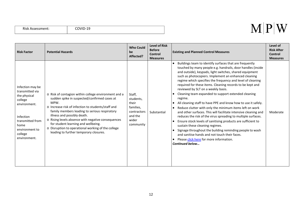|  | Risk Assessment: |
|--|------------------|
|--|------------------|

| <b>Risk Factor</b>                                                                                                                                                   | <b>Potential Hazards</b>                                                                                                                                                                                                                                                                                                                                                                                                                        | <b>Who Could</b><br>be<br>Affected?                                                       | <b>Level of Risk</b><br><b>Before</b><br>Control<br><b>Measures</b> | <b>Existing and Planned Control Measures</b>                                                                                                                                                                                                                                                                                                                                                                                                                                                                                                                                                                                                                                                                                                                                                                                                                                                                                                                                                                                                   | Level of<br><b>Risk After</b><br>Control<br><b>Measures</b> |
|----------------------------------------------------------------------------------------------------------------------------------------------------------------------|-------------------------------------------------------------------------------------------------------------------------------------------------------------------------------------------------------------------------------------------------------------------------------------------------------------------------------------------------------------------------------------------------------------------------------------------------|-------------------------------------------------------------------------------------------|---------------------------------------------------------------------|------------------------------------------------------------------------------------------------------------------------------------------------------------------------------------------------------------------------------------------------------------------------------------------------------------------------------------------------------------------------------------------------------------------------------------------------------------------------------------------------------------------------------------------------------------------------------------------------------------------------------------------------------------------------------------------------------------------------------------------------------------------------------------------------------------------------------------------------------------------------------------------------------------------------------------------------------------------------------------------------------------------------------------------------|-------------------------------------------------------------|
| Infection may be<br>transmitted via<br>the physical<br>college<br>environment.<br>Infection<br>transmitted from<br>home<br>environment to<br>college<br>environment. | o Risk of contagion within college environment and a<br>sudden spike in suspected/confirmed cases at<br>MPW.<br>o Increase risk of infection to students/staff and<br>family members leading to serious respiratory<br>illness and possibly death.<br>o Rising levels absence with negative consequences<br>for student learning and wellbeing.<br>o Disruption to operational working of the college<br>leading to further temporary closures. | Staff,<br>students,<br>their<br>families,<br>contractors<br>and the<br>wider<br>community | Substantial                                                         | Buildings team to identify surfaces that are frequently<br>touched by many people e.g. handrails, door handles (inside<br>and outside), keypads, light switches, shared equipment<br>such as photocopiers. Implement an enhanced cleaning<br>regime which specifies the frequency and level of cleaning<br>required for these items. Cleaning records to be kept and<br>reviewed by SLT on a weekly basis.<br>Cleaning team expanded to support extended cleaning<br>regime.<br>All cleaning staff to have PPE and know how to use it safely.<br>$\bullet$<br>Reduce clutter with only the minimum items left on work<br>and other surfaces. This will facilitate intensive cleaning and<br>reduces the risk of the virus spreading to multiple surfaces.<br>Ensure stock levels of sanitising products are sufficient to<br>sustain these cleaning regimes.<br>Signage throughout the building reminding people to wash<br>and sanitise hands and not touch their faces.<br>Please click here for more information.<br><b>Continued below</b> | Moderate                                                    |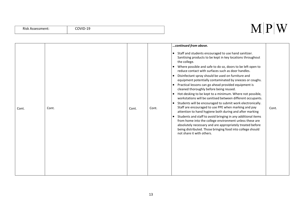#### Risk Assessment: COVID-19

| Cont. | Cont. | Cont. | Cont. | continued from above.<br>Staff and students encouraged to use hand sanitizer.<br>$\bullet$<br>Sanitising products to be kept in key locations throughout<br>the college.<br>Where possible and safe to do so, doors to be left open to<br>$\bullet$<br>reduce contact with surfaces such as door handles.<br>Disinfectant spray should be used on furniture and<br>$\bullet$<br>equipment potentially contaminated by sneezes or coughs.<br>Practical lessons can go ahead provided equipment is<br>$\bullet$<br>cleaned thoroughly before being reused.<br>Hot-desking to be kept to a minimum. Where not possible,<br>$\bullet$<br>workstations will be sanitised between different occupants.<br>Students will be encouraged to submit work electronically.<br>$\bullet$<br>Staff are encouraged to use PPE when marking and pay<br>attention to hand hygiene both during and after marking<br>Students and staff to avoid bringing in any additional items<br>$\bullet$<br>from home into the college environment unless these are<br>absolutely necessary and are appropriately treated before<br>being distributed. Those bringing food into college should<br>not share it with others. | Cont. |
|-------|-------|-------|-------|------------------------------------------------------------------------------------------------------------------------------------------------------------------------------------------------------------------------------------------------------------------------------------------------------------------------------------------------------------------------------------------------------------------------------------------------------------------------------------------------------------------------------------------------------------------------------------------------------------------------------------------------------------------------------------------------------------------------------------------------------------------------------------------------------------------------------------------------------------------------------------------------------------------------------------------------------------------------------------------------------------------------------------------------------------------------------------------------------------------------------------------------------------------------------------------------|-------|
|       |       |       |       |                                                                                                                                                                                                                                                                                                                                                                                                                                                                                                                                                                                                                                                                                                                                                                                                                                                                                                                                                                                                                                                                                                                                                                                                |       |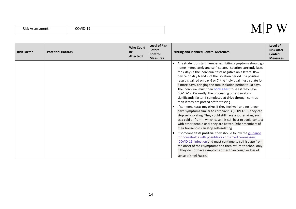| <b>Risk Assessment:</b> |  |
|-------------------------|--|
|-------------------------|--|

| <b>Risk Factor</b> | <b>Potential Hazards</b> | <b>Who Could</b><br>be<br>Affected? | <b>Level of Risk</b><br><b>Before</b><br><b>Control</b><br><b>Measures</b> | <b>Existing and Planned Control Measures</b>                                                                                                                                                                                                                                                                                                                                                                                                                                                                                                                                                                                                                                                                                                                                                                                                                                                                                                                                                                                                                                                                                                                                                                                                                                                                                                      | Level of<br><b>Risk After</b><br><b>Control</b><br><b>Measures</b> |
|--------------------|--------------------------|-------------------------------------|----------------------------------------------------------------------------|---------------------------------------------------------------------------------------------------------------------------------------------------------------------------------------------------------------------------------------------------------------------------------------------------------------------------------------------------------------------------------------------------------------------------------------------------------------------------------------------------------------------------------------------------------------------------------------------------------------------------------------------------------------------------------------------------------------------------------------------------------------------------------------------------------------------------------------------------------------------------------------------------------------------------------------------------------------------------------------------------------------------------------------------------------------------------------------------------------------------------------------------------------------------------------------------------------------------------------------------------------------------------------------------------------------------------------------------------|--------------------------------------------------------------------|
|                    |                          |                                     |                                                                            | Any student or staff member exhibiting symptoms should go<br>home immediately and self-isolate. Isolation currently lasts<br>for 7 days if the individual tests negative on a lateral flow<br>device on day 6 and 7 of the isolation period. If a positive<br>result is gained on day 6 or 7, the individual must isolate for<br>3 more days, bringing the total isolation period to 10 days.<br>The individual must then book a test to see if they have<br>COVID-19. Currently, the processing of test swabs is<br>significantly faster if completed at drive through centres<br>than if they are posted off for testing.<br>If someone tests negative, if they feel well and no longer<br>have symptoms similar to coronavirus (COVID-19), they can<br>stop self-isolating. They could still have another virus, such<br>as a cold or flu $-$ in which case it is still best to avoid contact<br>with other people until they are better. Other members of<br>their household can stop self-isolating<br>If someone tests positive, they should follow the guidance<br>for households with possible or confirmed coronavirus<br>(COVID-19) infection and must continue to self-isolate from<br>the onset of their symptoms and then return to school only<br>if they do not have symptoms other than cough or loss of<br>sense of smell/taste. |                                                                    |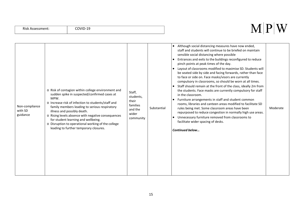| Non-compliance<br>with SD<br>guidance | o Risk of contagion within college environment and<br>sudden spike in suspected/confirmed cases at<br>MPW.<br>o Increase risk of infection to students/staff and<br>family members leading to serious respiratory<br>illness and possibly death.<br>o Rising levels absence with negative consequences<br>for student learning and wellbeing.<br>o Disruption to operational working of the college<br>leading to further temporary closures. | Staff,<br>students,<br>their<br>families<br>and the<br>wider<br>community | Substantial | Although social distancing measures have now ended,<br>staff and students will continue to be briefed on maintain<br>sensible social distancing where possible<br>Entrances and exits to the buildings reconfigured to reduce<br>$\bullet$<br>pinch points at peak times of the day.<br>Layout of classrooms modified to maximise SD. Students will<br>$\bullet$<br>be seated side by side and facing forwards, rather than face<br>to face or side on. Face masks/visors are currently<br>compulsory in classrooms, so should be worn at all times.<br>Staff should remain at the front of the class, ideally 2m from<br>the students. Face masks are currently compulsory for staff<br>in the classroom.<br>Furniture arrangements in staff and student common<br>rooms, libraries and canteen areas modified to facilitate SD<br>rules being met. Some classroom areas have been<br>repurposed to reduce congestion in normally high use areas.<br>Unnecessary furniture removed from classrooms to<br>facilitate wider spacing of desks.<br>Continued below | Moderate |
|---------------------------------------|-----------------------------------------------------------------------------------------------------------------------------------------------------------------------------------------------------------------------------------------------------------------------------------------------------------------------------------------------------------------------------------------------------------------------------------------------|---------------------------------------------------------------------------|-------------|-----------------------------------------------------------------------------------------------------------------------------------------------------------------------------------------------------------------------------------------------------------------------------------------------------------------------------------------------------------------------------------------------------------------------------------------------------------------------------------------------------------------------------------------------------------------------------------------------------------------------------------------------------------------------------------------------------------------------------------------------------------------------------------------------------------------------------------------------------------------------------------------------------------------------------------------------------------------------------------------------------------------------------------------------------------------|----------|
|---------------------------------------|-----------------------------------------------------------------------------------------------------------------------------------------------------------------------------------------------------------------------------------------------------------------------------------------------------------------------------------------------------------------------------------------------------------------------------------------------|---------------------------------------------------------------------------|-------------|-----------------------------------------------------------------------------------------------------------------------------------------------------------------------------------------------------------------------------------------------------------------------------------------------------------------------------------------------------------------------------------------------------------------------------------------------------------------------------------------------------------------------------------------------------------------------------------------------------------------------------------------------------------------------------------------------------------------------------------------------------------------------------------------------------------------------------------------------------------------------------------------------------------------------------------------------------------------------------------------------------------------------------------------------------------------|----------|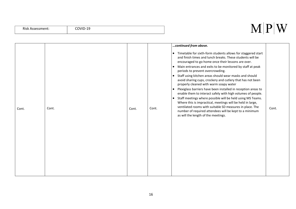#### Risk Assessment: COVID-19

|       |       |       |       | continued from above.                                                                                                                                                                                                                                                                                                                                                                                                                                                                                                                                                                                                                                                                                                                                                                                                                                                                                                             |       |
|-------|-------|-------|-------|-----------------------------------------------------------------------------------------------------------------------------------------------------------------------------------------------------------------------------------------------------------------------------------------------------------------------------------------------------------------------------------------------------------------------------------------------------------------------------------------------------------------------------------------------------------------------------------------------------------------------------------------------------------------------------------------------------------------------------------------------------------------------------------------------------------------------------------------------------------------------------------------------------------------------------------|-------|
| Cont. | Cont. | Cont. | Cont. | Timetable for sixth-form students allows for staggered start<br>$\bullet$<br>and finish times and lunch breaks. These students will be<br>encouraged to go home once their lessons are over.<br>Main entrances and exits to be monitored by staff at peak<br>$\bullet$<br>periods to prevent overcrowding.<br>• Staff using kitchen areas should wear masks and should<br>avoid sharing cups, crockery and cutlery that has not been<br>properly cleaned with warm soapy water<br>Plexiglass barriers have been installed in reception areas to<br>$\bullet$<br>enable them to interact safely with high volumes of people.<br>Staff meetings where possible will be held using MS Teams.<br>$\bullet$<br>Where this is impractical, meetings will be held in large,<br>ventilated rooms with suitable SD measures in place. The<br>number of required attendees will be kept to a minimum<br>as will the length of the meetings. | Cont. |
|       |       |       |       |                                                                                                                                                                                                                                                                                                                                                                                                                                                                                                                                                                                                                                                                                                                                                                                                                                                                                                                                   |       |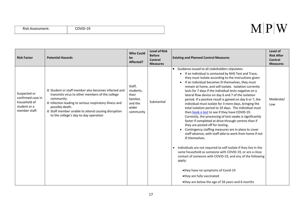| <b>Risk Assessment:</b> |
|-------------------------|
|-------------------------|

| <b>Risk Factor</b>                                                                 | <b>Potential Hazards</b>                                                                                                                                                                                                                                                                         | <b>Who Could</b><br>be<br>Affected?                                       | <b>Level of Risk</b><br><b>Before</b><br><b>Control</b><br><b>Measures</b> | <b>Existing and Planned Control Measures</b>                                                                                                                                                                                                                                                                                                                                                                                                                                                                                                                                                                                                                                                                                                                                                                                                                                                                                                                                                                                                                                                                                                                                                                                                                                                            | Level of<br><b>Risk After</b><br><b>Control</b><br><b>Measures</b> |
|------------------------------------------------------------------------------------|--------------------------------------------------------------------------------------------------------------------------------------------------------------------------------------------------------------------------------------------------------------------------------------------------|---------------------------------------------------------------------------|----------------------------------------------------------------------------|---------------------------------------------------------------------------------------------------------------------------------------------------------------------------------------------------------------------------------------------------------------------------------------------------------------------------------------------------------------------------------------------------------------------------------------------------------------------------------------------------------------------------------------------------------------------------------------------------------------------------------------------------------------------------------------------------------------------------------------------------------------------------------------------------------------------------------------------------------------------------------------------------------------------------------------------------------------------------------------------------------------------------------------------------------------------------------------------------------------------------------------------------------------------------------------------------------------------------------------------------------------------------------------------------------|--------------------------------------------------------------------|
| Suspected or<br>confirmed case in<br>household of<br>student or a<br>member staff. | o Student or staff member also becomes infected and<br>transmits virus to other members of the college<br>community.<br>o Infection leading to serious respiratory illness and<br>possibly death.<br>o Staff member unable to attend causing disruption<br>to the college's day-to-day operation | Staff,<br>students,<br>their<br>families<br>and the<br>wider<br>community | Substantial                                                                | Guidance issued to all stakeholders stipulates:<br>$\bullet$<br>• If an individual is contacted by NHS Test and Trace,<br>they must isolate according to the instructions given<br>If an individual becomes ill themselves, they must<br>$\bullet$<br>remain at home, and self-isolate. Isolation currently<br>lasts for 7 days if the individual tests negative on a<br>lateral flow device on day 6 and 7 of the isolation<br>period. If a positive result is gained on day 6 or 7, the<br>individual must isolate for 3 more days, bringing the<br>total isolation period to 10 days. The individual must<br>then book a test to see if they have COVID-19.<br>Currently, the processing of test swabs is significantly<br>faster if completed at drive through centres than if<br>they are posted off for testing.<br>Contingency staffing measures are in place to cover<br>staff absence, with staff able to work from home if not<br>ill themselves.<br>Individuals are not required to self-isolate if they live in the<br>$\bullet$<br>same household as someone with COVID-19, or are a close<br>contact of someone with COVID-19, and any of the following<br>apply:<br>•they have no symptoms of Covid-19<br>•they are fully vaccinated<br>•they are below the age of 18 years and 6 months | Moderate/<br>Low                                                   |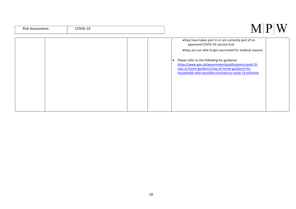| Risk Assessment: | COVID-19 |                                                                                                                                                                                                                                                                                                                                                                                        |
|------------------|----------|----------------------------------------------------------------------------------------------------------------------------------------------------------------------------------------------------------------------------------------------------------------------------------------------------------------------------------------------------------------------------------------|
|                  |          | •they have taken part in or are currently part of an<br>approved COVID-19 vaccine trial<br>•they are not able to get vaccinated for medical reasons<br>Please refer to the following for guidance:<br>$\bullet$<br>https://www.gov.uk/government/publications/covid-19-<br>stay-at-home-guidance/stay-at-home-guidance-for-<br>households-with-possible-coronavirus-covid-19-infection |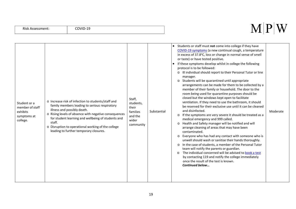| Student or a<br>member of staff<br>exhibits<br>symptoms at<br>college. | o Increase risk of infection to students/staff and<br>family members leading to serious respiratory<br>illness and possibly death.<br>o Rising levels of absence with negative consequences<br>for student learning and wellbeing of students and<br>staff.<br>o Disruption to operational working of the college<br>leading to further temporary closures. | Staff,<br>students,<br>their<br>families<br>and the<br>wider<br>community | Substantial | Students or staff must not come into college if they have<br>$\bullet$<br>COVID-19 symptoms (a new continual cough, a temperature<br>in excess of 37.8°C, loss or change in normal sense of smell<br>or taste) or have tested positive.<br>If these symptoms develop whilst in college the following<br>$\bullet$<br>protocol is to be followed:<br>o Ill individual should report to their Personal Tutor or line<br>manager.<br>o Students will be quarantined until appropriate<br>arrangements can be made for them to be collected by a<br>member of their family or household. The door to the<br>room being used for quarantine purposes should be<br>closed but the windows kept open to facilitate<br>ventilation. If they need to use the bathroom, it should<br>be reserved for their exclusive use until it can be cleaned<br>and disinfected.<br>Moderate<br>o If the symptoms are very severe it should be treated as a<br>medical emergency and 999 called.<br>Health and Safety manager will be notified and will<br>$\circ$<br>arrange cleaning of areas that may have been<br>contaminated.<br>Everyone who has had any contact with someone who is<br>$\circ$<br>unwell should wash or sanitise their hands thoroughly.<br>In the case of students, a member of the Personal Tutor<br>$\circ$<br>team will notify the parents or guardian.<br>The individual concerned will be advised to book a test<br>$\circ$<br>by contacting 119 and notify the college immediately<br>once the result of the test is known.<br><b>Continued below</b> |
|------------------------------------------------------------------------|-------------------------------------------------------------------------------------------------------------------------------------------------------------------------------------------------------------------------------------------------------------------------------------------------------------------------------------------------------------|---------------------------------------------------------------------------|-------------|----------------------------------------------------------------------------------------------------------------------------------------------------------------------------------------------------------------------------------------------------------------------------------------------------------------------------------------------------------------------------------------------------------------------------------------------------------------------------------------------------------------------------------------------------------------------------------------------------------------------------------------------------------------------------------------------------------------------------------------------------------------------------------------------------------------------------------------------------------------------------------------------------------------------------------------------------------------------------------------------------------------------------------------------------------------------------------------------------------------------------------------------------------------------------------------------------------------------------------------------------------------------------------------------------------------------------------------------------------------------------------------------------------------------------------------------------------------------------------------------------------------------------------------------------------------|
|------------------------------------------------------------------------|-------------------------------------------------------------------------------------------------------------------------------------------------------------------------------------------------------------------------------------------------------------------------------------------------------------------------------------------------------------|---------------------------------------------------------------------------|-------------|----------------------------------------------------------------------------------------------------------------------------------------------------------------------------------------------------------------------------------------------------------------------------------------------------------------------------------------------------------------------------------------------------------------------------------------------------------------------------------------------------------------------------------------------------------------------------------------------------------------------------------------------------------------------------------------------------------------------------------------------------------------------------------------------------------------------------------------------------------------------------------------------------------------------------------------------------------------------------------------------------------------------------------------------------------------------------------------------------------------------------------------------------------------------------------------------------------------------------------------------------------------------------------------------------------------------------------------------------------------------------------------------------------------------------------------------------------------------------------------------------------------------------------------------------------------|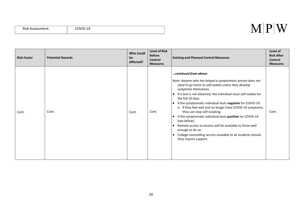| <b>Risk Assessment:</b> | …וי^^<br>ં ખ<br><b>COVID-19</b> |
|-------------------------|---------------------------------|
|                         |                                 |

#### $M|P|W$

| <b>Risk Factor</b> | <b>Potential Hazards</b> | <b>Who Could</b><br>be<br>Affected? | <b>Level of Risk</b><br><b>Before</b><br><b>Control</b><br><b>Measures</b> | <b>Existing and Planned Control Measures</b>                                                                                                                                                                                                                                                                                                                                                                                                                                                                                                                                                                                                                                                                                                 | Level of<br><b>Risk After</b><br>Control<br><b>Measures</b> |
|--------------------|--------------------------|-------------------------------------|----------------------------------------------------------------------------|----------------------------------------------------------------------------------------------------------------------------------------------------------------------------------------------------------------------------------------------------------------------------------------------------------------------------------------------------------------------------------------------------------------------------------------------------------------------------------------------------------------------------------------------------------------------------------------------------------------------------------------------------------------------------------------------------------------------------------------------|-------------------------------------------------------------|
| Cont.              | Cont.                    | Cont.                               | Cont.                                                                      | continued from above.<br>Note: Anyone who has helped a symptomatic person does not<br>need to go home to self-isolate unless they develop<br>symptoms themselves.<br>If a test is not obtained, the individual must self-isolate for<br>$\bullet$<br>the full 10 days.<br>If the symptomatic individual tests negative for COVID-19:<br>$\bullet$<br>o If they feel well and no longer have COVID-19 symptoms,<br>they can stop self-isolating.<br>If the symptomatic individual tests positive for COVID-19<br>$\bullet$<br>(see below).<br>Remote access to lessons will be available to those well<br>$\bullet$<br>enough to do so.<br>College counselling service available to all students should<br>$\bullet$<br>they require support. | Cont.                                                       |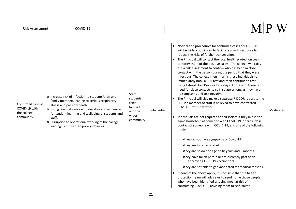|  | <b>Risk Assessment:</b> |  |
|--|-------------------------|--|
|--|-------------------------|--|

| Confirmed case of<br>COVID-19 with<br>the college<br>community. | o Increase risk of infection to students/staff and<br>family members leading to serious respiratory<br>illness and possibly death.<br>o Rising levels absence with negative consequences<br>for student learning and wellbeing of students and<br>staff.<br>o Disruption to operational working of the college<br>leading to further temporary closures. | Staff,<br>students,<br>their<br>families<br>and the<br>wider<br>community | Substantial | $\bullet$<br>$\bullet$ | • Notification procedures for confirmed cases of COVID-19<br>will be widely publicised to facilitate a swift response to<br>reduce the risks of further transmission.<br>The Principal will contact the local health protection team<br>to notify them of the positive cases. The college will carry<br>out a risk assessment to confirm who has been in close<br>contact with the person during the period that they were<br>infectious. The college then informs these individuals to<br>immediately book a PCR test and then continue to test<br>using Lateral Flow Devices for 7 days. At present, there is no<br>need for close contacts to self-isolate as long as they have<br>no symptoms and test negative.<br>The Principal will also make a separate RIDDOR report to the<br>HSE if a member of staff is believed to have contracted<br>COVID-19 whilst at work<br>Individuals are not required to self-isolate if they live in the<br>same household as someone with COVID-19, or are a close<br>contact of someone with COVID-19, and any of the following<br>apply:<br>•they do not have symptoms of Covid-19<br>•they are fully vaccinated<br>•they are below the age of 18 years and 6 months<br>•they have taken part in or are currently part of an<br>approved COVID-19 vaccine trial<br>•they are not able to get vaccinated for medical reasons<br>If none of the above apply, it is possible that the health<br>protection team will advise us to send home those people<br>who have been identified as being most at risk of<br>contracting COVID-19, advising them to self-isolate. | Moderate |
|-----------------------------------------------------------------|----------------------------------------------------------------------------------------------------------------------------------------------------------------------------------------------------------------------------------------------------------------------------------------------------------------------------------------------------------|---------------------------------------------------------------------------|-------------|------------------------|-------------------------------------------------------------------------------------------------------------------------------------------------------------------------------------------------------------------------------------------------------------------------------------------------------------------------------------------------------------------------------------------------------------------------------------------------------------------------------------------------------------------------------------------------------------------------------------------------------------------------------------------------------------------------------------------------------------------------------------------------------------------------------------------------------------------------------------------------------------------------------------------------------------------------------------------------------------------------------------------------------------------------------------------------------------------------------------------------------------------------------------------------------------------------------------------------------------------------------------------------------------------------------------------------------------------------------------------------------------------------------------------------------------------------------------------------------------------------------------------------------------------------------------------------------------------------------------------------------------|----------|
|-----------------------------------------------------------------|----------------------------------------------------------------------------------------------------------------------------------------------------------------------------------------------------------------------------------------------------------------------------------------------------------------------------------------------------------|---------------------------------------------------------------------------|-------------|------------------------|-------------------------------------------------------------------------------------------------------------------------------------------------------------------------------------------------------------------------------------------------------------------------------------------------------------------------------------------------------------------------------------------------------------------------------------------------------------------------------------------------------------------------------------------------------------------------------------------------------------------------------------------------------------------------------------------------------------------------------------------------------------------------------------------------------------------------------------------------------------------------------------------------------------------------------------------------------------------------------------------------------------------------------------------------------------------------------------------------------------------------------------------------------------------------------------------------------------------------------------------------------------------------------------------------------------------------------------------------------------------------------------------------------------------------------------------------------------------------------------------------------------------------------------------------------------------------------------------------------------|----------|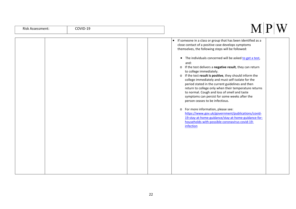| Risk Assessment: |  |
|------------------|--|
|------------------|--|

| • If someone in a class or group that has been identified as a |
|----------------------------------------------------------------|
| close contact of a positive case develops symptoms             |
| themselves, the following steps will be followed:              |
|                                                                |
| The individuals concerned will be asked to get a test,         |
| and:                                                           |
| o If the test delivers a negative result, they can return      |
| to college immediately.                                        |
| o If the test result is positive, they should inform the       |
| college immediately and must self-isolate for the              |
| period stated in the current guidelines and then               |
| return to college only when their temperature returns          |
| to normal. Cough and loss of smell and taste                   |
| symptoms can persist for some weeks after the                  |
| person ceases to be infectious.                                |
| o For more information, please see:                            |
| https://www.gov.uk/government/publications/covid-              |
| 19-stay-at-home-guidance/stay-at-home-guidance-for-            |
| households-with-possible-coronavirus-covid-19-                 |
| infection                                                      |
|                                                                |
|                                                                |
|                                                                |
|                                                                |
|                                                                |
|                                                                |
|                                                                |
|                                                                |
|                                                                |
|                                                                |
|                                                                |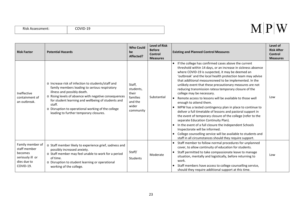| Risk Assessment: |  |
|------------------|--|
|------------------|--|

| <b>Risk Factor</b>                                                                          | <b>Potential Hazards</b>                                                                                                                                                                                                                                                                                                                                    | <b>Who Could</b><br>be<br>Affected?                                       | <b>Level of Risk</b><br><b>Before</b><br>Control<br><b>Measures</b> | <b>Existing and Planned Control Measures</b>                                                                                                                                                                                                                                                                                                                                                                                                                                                                                                                                                                                                                                                                                                                                                                                                                                                                                                                                                                     | Level of<br><b>Risk After</b><br><b>Control</b><br><b>Measures</b> |
|---------------------------------------------------------------------------------------------|-------------------------------------------------------------------------------------------------------------------------------------------------------------------------------------------------------------------------------------------------------------------------------------------------------------------------------------------------------------|---------------------------------------------------------------------------|---------------------------------------------------------------------|------------------------------------------------------------------------------------------------------------------------------------------------------------------------------------------------------------------------------------------------------------------------------------------------------------------------------------------------------------------------------------------------------------------------------------------------------------------------------------------------------------------------------------------------------------------------------------------------------------------------------------------------------------------------------------------------------------------------------------------------------------------------------------------------------------------------------------------------------------------------------------------------------------------------------------------------------------------------------------------------------------------|--------------------------------------------------------------------|
| Ineffective<br>containment of<br>an outbreak.                                               | o Increase risk of infection to students/staff and<br>family members leading to serious respiratory<br>illness and possibly death.<br>o Rising levels of absence with negative consequences<br>for student learning and wellbeing of students and<br>staff.<br>o Disruption to operational working of the college<br>leading to further temporary closures. | Staff,<br>students,<br>their<br>families<br>and the<br>wider<br>community | Substantial                                                         | If the college has confirmed cases above the current<br>$\bullet$<br>threshold within 14 days, or an increase in sickness absence<br>where COVID-19 is suspected, it may be deemed an<br>'outbreak' and the local health protection team may advise<br>that additional measuresneed to be implemented. In the<br>unlikely event that these precautionary measures are not<br>reducing transmission ratesa temporary closure of the<br>college may be necessary.<br>Remote access to lessons will be available to those well<br>enough to attend them.<br>MPW has a tested contingency plan in place to continue to<br>deliver a full timetable of lessons and pastoral support in<br>the event of temporary closure of the college (refer to the<br>separate Education Continuity Plan).<br>In the event of a full closure the Independent Schools<br>Inspectorate will be informed.<br>College counselling service will be available to students and<br>staff in all circumstances should they require support. | Low                                                                |
| Family member of<br>staff member<br>becomes<br>seriously ill or<br>dies due to<br>COVID-19. | o Staff member likely to experience grief, sadness and<br>possibly increased anxiety.<br>o Staff member may feel unable to work for a period<br>of time.<br>o Disruption to student learning or operational<br>working of the college.                                                                                                                      | Staff/<br><b>Students</b>                                                 | Moderate                                                            | Staff member to follow normal procedures for unplanned<br>cover, to allow continuity of education for students.<br>Staff permitted to take compassionate leave to manage<br>situation, mentally and logistically, before returning to<br>work.<br>Staff members have access to college counselling service,<br>should they require additional support at this time.                                                                                                                                                                                                                                                                                                                                                                                                                                                                                                                                                                                                                                              | Low                                                                |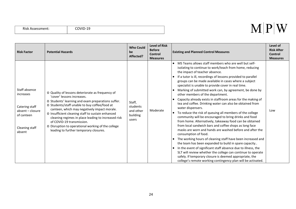|  | Risk Assessment: |
|--|------------------|
|--|------------------|

| <b>Risk Factor</b>                                                                                         | <b>Potential Hazards</b>                                                                                                                                                                                                                                                                                                                                                                                                                                                       | <b>Who Could</b><br>be<br>Affected?                  | <b>Level of Risk</b><br><b>Before</b><br><b>Control</b><br><b>Measures</b> | <b>Existing and Planned Control Measures</b>                                                                                                                                                                                                                                                                                                                                                                                                                                                                                                                                                                                                                                                                                                                                                                                                                                                                                                                                                                                                                                                                                                                                                                                                                                                                                                                         | Level of<br><b>Risk After</b><br><b>Control</b><br><b>Measures</b> |
|------------------------------------------------------------------------------------------------------------|--------------------------------------------------------------------------------------------------------------------------------------------------------------------------------------------------------------------------------------------------------------------------------------------------------------------------------------------------------------------------------------------------------------------------------------------------------------------------------|------------------------------------------------------|----------------------------------------------------------------------------|----------------------------------------------------------------------------------------------------------------------------------------------------------------------------------------------------------------------------------------------------------------------------------------------------------------------------------------------------------------------------------------------------------------------------------------------------------------------------------------------------------------------------------------------------------------------------------------------------------------------------------------------------------------------------------------------------------------------------------------------------------------------------------------------------------------------------------------------------------------------------------------------------------------------------------------------------------------------------------------------------------------------------------------------------------------------------------------------------------------------------------------------------------------------------------------------------------------------------------------------------------------------------------------------------------------------------------------------------------------------|--------------------------------------------------------------------|
| Staff absence<br>increases<br>Catering staff<br>absent - closure<br>of canteen<br>Cleaning staff<br>absent | O Quality of lessons deteriorate as frequency of<br>'cover' lessons increases.<br>o Students' learning and exam preparations suffer.<br>o Students/staff unable to buy coffee/food at<br>canteen, which may negatively impact morale.<br>o Insufficient cleaning staff to sustain enhanced<br>cleaning regimes in place leading to increased risk<br>of COVID-19 transmission.<br>o Disruption to operational working of the college<br>leading to further temporary closures. | Staff,<br>students<br>and other<br>building<br>users | Moderate                                                                   | MS Teams allows staff members who are well but self-<br>$\bullet$<br>isolating to continue to work/teach from home, reducing<br>the impact of teacher absence.<br>If a tutor is ill, recordings of lessons provided to parallel<br>groups can be made available in cases where a subject<br>specialist is unable to provide cover in real time.<br>Marking of submitted work can, by agreement, be done by<br>$\bullet$<br>other members of the department.<br>Capacity already exists in staffroom areas for the making of<br>tea and coffee. Drinking water can also be obtained from<br>water dispensers.<br>To reduce the risk of queuing all members of the college<br>$\bullet$<br>community will be encouraged to bring drinks and food<br>from home. Alternatively, takeaway food can be obtained<br>from local sandwich bars and coffee shops as long face<br>masks are worn and hands are washed before and after the<br>consumption of food.<br>The working hours of cleaning staff have been increased and<br>$\bullet$<br>the team has been expanded to build in spare capacity<br>In the event of significant staff absence due to illness, the<br>$\bullet$<br>SLT will review whether the college can continue to operate<br>safely. If temporary closure is deemed appropriate, the<br>college's remote working contingency plan will be activated. | Low                                                                |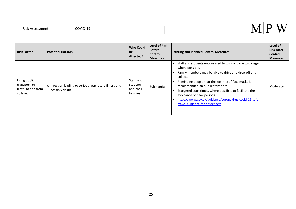| Risk Assessment: | JOVID-1 <sup>r</sup> |
|------------------|----------------------|

#### $M|P|W$

| <b>Risk Factor</b>                                             | <b>Potential Hazards</b>                                                  | <b>Who Could</b><br>be<br>Affected?             | <b>Level of Risk</b><br><b>Before</b><br>Control<br><b>Measures</b> | <b>Existing and Planned Control Measures</b>                                                                                                                                                                                                                                                                                                                                                                                      | Level of<br><b>Risk After</b><br><b>Control</b><br><b>Measures</b> |
|----------------------------------------------------------------|---------------------------------------------------------------------------|-------------------------------------------------|---------------------------------------------------------------------|-----------------------------------------------------------------------------------------------------------------------------------------------------------------------------------------------------------------------------------------------------------------------------------------------------------------------------------------------------------------------------------------------------------------------------------|--------------------------------------------------------------------|
| Using public<br>transport to<br>travel to and from<br>college. | o Infection leading to serious respiratory illness and<br>possibly death. | Staff and<br>students,<br>and their<br>families | Substantial                                                         | Staff and students encouraged to walk or cycle to college<br>where possible.<br>Family members may be able to drive and drop-off and<br>collect.<br>Reminding people that the wearing of face masks is<br>recommended on public transport.<br>Staggered start times, where possible, to facilitate the<br>avoidance of peak periods.<br>https://www.gov.uk/guidance/coronavirus-covid-19-safer-<br>travel-guidance-for-passengers | Moderate                                                           |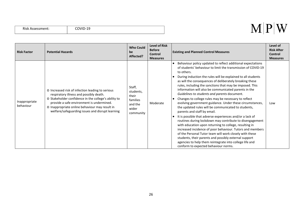| Risk Assessment: |
|------------------|
|------------------|

| <b>Risk Factor</b>         | <b>Potential Hazards</b>                                                                                                                                                                                                                                                                               | <b>Who Could</b><br>be<br>Affected?                                       | <b>Level of Risk</b><br><b>Before</b><br>Control<br><b>Measures</b> | <b>Existing and Planned Control Measures</b>                                                                                                                                                                                                                                                                                                                                                                                                                                                                                                                                                                                                                                                                                                                                                                                                                                                                                                                                                                                                                                                                             | Level of<br><b>Risk After</b><br><b>Control</b><br><b>Measures</b> |
|----------------------------|--------------------------------------------------------------------------------------------------------------------------------------------------------------------------------------------------------------------------------------------------------------------------------------------------------|---------------------------------------------------------------------------|---------------------------------------------------------------------|--------------------------------------------------------------------------------------------------------------------------------------------------------------------------------------------------------------------------------------------------------------------------------------------------------------------------------------------------------------------------------------------------------------------------------------------------------------------------------------------------------------------------------------------------------------------------------------------------------------------------------------------------------------------------------------------------------------------------------------------------------------------------------------------------------------------------------------------------------------------------------------------------------------------------------------------------------------------------------------------------------------------------------------------------------------------------------------------------------------------------|--------------------------------------------------------------------|
| Inappropriate<br>behaviour | o Increased risk of infection leading to serious<br>respiratory illness and possibly death.<br>o Stakeholder confidence in the college's ability to<br>provide a safe environment is undermined.<br>o Inappropriate online behaviour may result in<br>welfare/safeguarding issues and disrupt learning | Staff,<br>students,<br>their<br>families<br>and the<br>wider<br>community | Moderate                                                            | Behaviour policy updated to reflect additional expectations<br>of students' behaviour to limit the transmission of COVID-19<br>to others.<br>During induction the rules will be explained to all students<br>as will the consequences of deliberately breaking these<br>rules, including the sanctions that may be imposed. This<br>information will also be communicated parents in the<br>Guidelines to students and parents document.<br>Changes to college rules may be necessary to reflect<br>evolving government guidance. Under these circumstances,<br>the updated rules will be communicated to students,<br>parents and staff by email.<br>It is possible that adverse experiences and/or a lack of<br>routines during lockdown may contribute to disengagement<br>with education upon returning to college, resulting in<br>increased incidence of poor behaviour. Tutors and members<br>of the Personal Tutor team will work closely with these<br>students, their parents and possibly external support<br>agencies to help them reintegrate into college life and<br>conform to expected behaviour norms. | Low                                                                |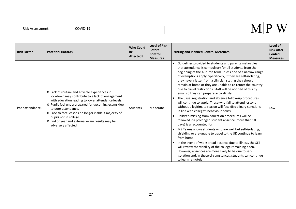| Risk Assessment: |
|------------------|
|------------------|

| <b>Risk Factor</b> | <b>Potential Hazards</b>                                                                                                                                                                                                                                                                                                                                                                        | <b>Who Could</b><br>be<br>Affected? | <b>Level of Risk</b><br><b>Before</b><br><b>Control</b><br><b>Measures</b> | <b>Existing and Planned Control Measures</b>                                                                                                                                                                                                                                                                                                                                                                                                                                                                                                                                                                                                                                                                                                                                                                                                                                                                                                                                                                                                                                                                                                                                                                                                                                                          | Level of<br><b>Risk After</b><br><b>Control</b><br><b>Measures</b> |
|--------------------|-------------------------------------------------------------------------------------------------------------------------------------------------------------------------------------------------------------------------------------------------------------------------------------------------------------------------------------------------------------------------------------------------|-------------------------------------|----------------------------------------------------------------------------|-------------------------------------------------------------------------------------------------------------------------------------------------------------------------------------------------------------------------------------------------------------------------------------------------------------------------------------------------------------------------------------------------------------------------------------------------------------------------------------------------------------------------------------------------------------------------------------------------------------------------------------------------------------------------------------------------------------------------------------------------------------------------------------------------------------------------------------------------------------------------------------------------------------------------------------------------------------------------------------------------------------------------------------------------------------------------------------------------------------------------------------------------------------------------------------------------------------------------------------------------------------------------------------------------------|--------------------------------------------------------------------|
| Poor attendance.   | o Lack of routine and adverse experiences in<br>lockdown may contribute to a lack of engagement<br>with education leading to lower attendance levels.<br>o Pupils feel underprepared for upcoming exams due<br>to poor attendance.<br>o Face to face lessons no longer viable if majority of<br>pupils not in college.<br>o End of year and external exam results may be<br>adversely affected. | Students                            | Moderate                                                                   | Guidelines provided to students and parents makes clear<br>that attendance is compulsory for all students from the<br>beginning of the Autumn term unless one of a narrow range<br>of exemptions apply. Specifically, if they are self-isolating,<br>they have a letter from a clinician stating they should<br>remain at home or they are unable to re-renter the country<br>due to travel restrictions. Staff will be notified of this by<br>email so they can prepare accordingly.<br>The usual registration and absence follow-up procedures<br>will continue to apply. Those who fail to attend lessons<br>without a legitimate reason will face disciplinary sanctions<br>in line with college's behaviour policy.<br>Children missing from education procedures will be<br>followed if a prolonged student absence (more than 10<br>days) is unaccounted for.<br>MS Teams allows students who are well but self-isolating,<br>$\bullet$<br>shielding or are unable to travel to the UK continue to learn<br>from home.<br>In the event of widespread absence due to illness, the SLT<br>will review the viability of the college remaining open.<br>However, absences are more likely to be due to self-<br>isolation and, in these circumstances, students can continue<br>to learn remotely. | Low                                                                |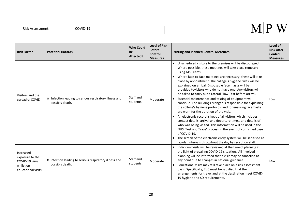|  | Risk Assessment: |
|--|------------------|
|--|------------------|

| <b>Risk Factor</b>                                                                 | <b>Potential Hazards</b>                                                  | <b>Who Could</b><br>be<br>Affected? | <b>Level of Risk</b><br><b>Before</b><br>Control<br><b>Measures</b> | <b>Existing and Planned Control Measures</b>                                                                                                                                                                                                                                                                                                                                                                                                                                                                                                                                                                                                                                                                                                                                                                                                                                                                                                                                                                                                                                                                 | Level of<br><b>Risk After</b><br><b>Control</b><br><b>Measures</b> |
|------------------------------------------------------------------------------------|---------------------------------------------------------------------------|-------------------------------------|---------------------------------------------------------------------|--------------------------------------------------------------------------------------------------------------------------------------------------------------------------------------------------------------------------------------------------------------------------------------------------------------------------------------------------------------------------------------------------------------------------------------------------------------------------------------------------------------------------------------------------------------------------------------------------------------------------------------------------------------------------------------------------------------------------------------------------------------------------------------------------------------------------------------------------------------------------------------------------------------------------------------------------------------------------------------------------------------------------------------------------------------------------------------------------------------|--------------------------------------------------------------------|
| Visitors and the<br>spread of COVID-<br>19.                                        | o Infection leading to serious respiratory illness and<br>possibly death. | Staff and<br>students               | Moderate                                                            | Unscheduled visitors to the premises will be discouraged.<br>Where possible, these meetings will take place remotely<br>using MS Teams.<br>Where face-to-face meetings are necessary, these will take<br>place by appointment. The college's hygiene rules will be<br>explained on arrival. Disposable face masks will be<br>provided tovisitors who do not have one. Any visitors will<br>be asked to carry out a Lateral Flow Test before arrival.<br>Essential maintenance and testing of equipment will<br>continue. The Buildings Manger is responsible for explaining<br>the college's hygiene protocols and for ensuring facemasks<br>are worn for the duration of the visit.<br>An electronic record is kept of all visitors which includes<br>contact details, arrival and departure times, and details of<br>who was being visited. This information will be used in the<br>NHS 'Test and Trace' process in the event of confirmed case<br>of COVID-19.<br>The screen of the electronic entry system will be sanitised at<br>$\bullet$<br>regular intervals throughout the day by reception staff. | Low                                                                |
| Increased<br>exposure to the<br>COVID-19 virus<br>whilst on<br>educational visits. | o Infection leading to serious respiratory illness and<br>possibly death. | Staff and<br>students               | Moderate                                                            | Individual visits will be reviewed at the time of planning in<br>$\bullet$<br>the light of prevailing COVID-19 situation. All involved in<br>planning will be informed that a visit may be cancelled at<br>any point due to changes in national guidance.<br>Educational visits may still take place on a risk assessment<br>$\bullet$<br>basis. Specifically, EVC must be satisfied that the<br>arrangements for travel and at the destination meet COVID-<br>19 hygiene and SD requirements.                                                                                                                                                                                                                                                                                                                                                                                                                                                                                                                                                                                                               | Low                                                                |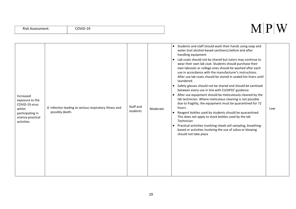| Increased<br>exposure to the<br>COVID-19 virus<br>whilst<br>participating in<br>science practical<br>activities | o Infection leading to serious respiratory illness and<br>possibly death. | Staff and<br>students | Moderate | Students and staff should wash their hands using soap and<br>$\bullet$<br>water (not alcohol-based sanitisers) before and after<br>handling equipment<br>Lab coats should not be shared but tutors may continue to<br>$\bullet$<br>wear their own lab coat. Students should purchase their<br>own labcoats or college ones should be washed after each<br>use in accordance with the manufacturer's instructions.<br>After use lab coats should be stored in sealed bin liners until<br>laundered.<br>Safety glasses should not be shared and should be sanitised<br>$\bullet$<br>between every use in line with CLEAPSS' guidance<br>After use equipment should be meticulously cleaned by the<br>$\bullet$<br>lab technician. Where meticulous cleaning is not possible<br>due to fragility, the equipment must be quarantined for 72<br>hours.<br>Reagent bottles used by students should be quarantined.<br>This does not apply to stock bottles used by the lab<br>Technician<br>Practical activities involving cheek cell sampling, breathing-<br>$\bullet$<br>based or activities involving the use of saliva or blowing<br>should not take place | Low |
|-----------------------------------------------------------------------------------------------------------------|---------------------------------------------------------------------------|-----------------------|----------|----------------------------------------------------------------------------------------------------------------------------------------------------------------------------------------------------------------------------------------------------------------------------------------------------------------------------------------------------------------------------------------------------------------------------------------------------------------------------------------------------------------------------------------------------------------------------------------------------------------------------------------------------------------------------------------------------------------------------------------------------------------------------------------------------------------------------------------------------------------------------------------------------------------------------------------------------------------------------------------------------------------------------------------------------------------------------------------------------------------------------------------------------------|-----|
|-----------------------------------------------------------------------------------------------------------------|---------------------------------------------------------------------------|-----------------------|----------|----------------------------------------------------------------------------------------------------------------------------------------------------------------------------------------------------------------------------------------------------------------------------------------------------------------------------------------------------------------------------------------------------------------------------------------------------------------------------------------------------------------------------------------------------------------------------------------------------------------------------------------------------------------------------------------------------------------------------------------------------------------------------------------------------------------------------------------------------------------------------------------------------------------------------------------------------------------------------------------------------------------------------------------------------------------------------------------------------------------------------------------------------------|-----|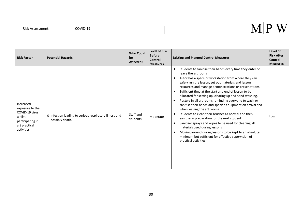| <b>Risk Assessment:</b> | COVID-19 |
|-------------------------|----------|
|-------------------------|----------|

| <b>Risk Factor</b>                                                                                          | <b>Potential Hazards</b>                                                  | <b>Who Could</b><br>be<br>Affected? | <b>Level of Risk</b><br><b>Before</b><br>Control<br><b>Measures</b> | <b>Existing and Planned Control Measures</b>                                                                                                                                                                                                                                                                                                                                                                                                                                                                                                                                                                                                                                                                                                                                                                                                                                                                                                                 | Level of<br><b>Risk After</b><br><b>Control</b><br><b>Measures</b> |
|-------------------------------------------------------------------------------------------------------------|---------------------------------------------------------------------------|-------------------------------------|---------------------------------------------------------------------|--------------------------------------------------------------------------------------------------------------------------------------------------------------------------------------------------------------------------------------------------------------------------------------------------------------------------------------------------------------------------------------------------------------------------------------------------------------------------------------------------------------------------------------------------------------------------------------------------------------------------------------------------------------------------------------------------------------------------------------------------------------------------------------------------------------------------------------------------------------------------------------------------------------------------------------------------------------|--------------------------------------------------------------------|
| Increased<br>exposure to the<br>COVID-19 virus<br>whilst<br>participating in<br>art practical<br>activities | o Infection leading to serious respiratory illness and<br>possibly death. | Staff and<br>students               | Moderate                                                            | Students to sanitise their hands every time they enter or<br>$\bullet$<br>leave the art rooms.<br>Tutor has a space or workstation from where they can<br>$\bullet$<br>safely run the lesson, set out materials and lesson<br>resources and manage demonstrations or presentations.<br>Sufficient time at the start and end of lesson to be<br>$\bullet$<br>allocated for setting up, clearing up and hand-washing.<br>Posters in all art rooms reminding everyone to wash or<br>$\bullet$<br>sanitise their hands and specific equipment on arrival and<br>when leaving the art rooms.<br>Students to clean their brushes as normal and then<br>sanitise in preparation for the next student<br>Sanitiser sprays and wipes to be used for cleaning all<br>$\bullet$<br>materials used during lessons<br>Moving around during lessons to be kept to an absolute<br>$\bullet$<br>minimum but sufficient for effective supervision of<br>practical activities. | Low                                                                |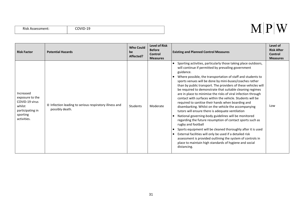|  | Risk Assessment: |
|--|------------------|
|--|------------------|

| <b>Risk Factor</b>                                                                                      | <b>Potential Hazards</b>                                                  | <b>Who Could</b><br>be<br>Affected? | <b>Level of Risk</b><br><b>Before</b><br>Control<br><b>Measures</b> | <b>Existing and Planned Control Measures</b>                                                                                                                                                                                                                                                                                                                                                                                                                                                                                                                                                                                                                                                                                                                                                                                                                                                                                                                                                                                                                                                                            | Level of<br><b>Risk After</b><br>Control<br><b>Measures</b> |
|---------------------------------------------------------------------------------------------------------|---------------------------------------------------------------------------|-------------------------------------|---------------------------------------------------------------------|-------------------------------------------------------------------------------------------------------------------------------------------------------------------------------------------------------------------------------------------------------------------------------------------------------------------------------------------------------------------------------------------------------------------------------------------------------------------------------------------------------------------------------------------------------------------------------------------------------------------------------------------------------------------------------------------------------------------------------------------------------------------------------------------------------------------------------------------------------------------------------------------------------------------------------------------------------------------------------------------------------------------------------------------------------------------------------------------------------------------------|-------------------------------------------------------------|
| Increased<br>exposure to the<br>COVID-19 virus<br>whilst<br>participating in<br>sporting<br>activities. | o Infection leading to serious respiratory illness and<br>possibly death. | Students                            | Moderate                                                            | Sporting activities, particularly those taking place outdoors,<br>will continue if permitted by prevailing government<br>guidance.<br>Where possible, the transportation of staff and students to<br>sports venues will be done by mini-buses/coaches rather<br>than by public transport. The providers of these vehicles will<br>be required to demonstrate that suitable cleaning regimes<br>are in place to minimise the risks of viral infection through<br>contact with surfaces within the vehicle. Students will be<br>required to sanitise their hands when boarding and<br>disembarking. Whilst on the vehicle the accompanying<br>tutors will ensure there is adequate ventilation<br>National governing-body guidelines will be monitored<br>regarding the future resumption of contact sports such as<br>rugby and football<br>Sports equipment will be cleaned thoroughly after it is used<br>External facilities will only be used if a detailed risk<br>$\bullet$<br>assessment is provided outlining the system of controls in<br>place to maintain high standards of hygiene and social<br>distancing. | Low                                                         |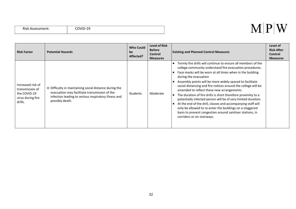| Risk Assessment: |  |
|------------------|--|
|------------------|--|

| <b>Risk Factor</b>                                                                   | <b>Potential Hazards</b>                                                                                                                                                           | <b>Who Could</b><br>be<br>Affected? | <b>Level of Risk</b><br><b>Before</b><br>Control<br><b>Measures</b> | <b>Existing and Planned Control Measures</b>                                                                                                                                                                                                                                                                                                                                                                                                                                                                                                                                                                                                                                                                                                        | Level of<br><b>Risk After</b><br>Control<br><b>Measures</b> |
|--------------------------------------------------------------------------------------|------------------------------------------------------------------------------------------------------------------------------------------------------------------------------------|-------------------------------------|---------------------------------------------------------------------|-----------------------------------------------------------------------------------------------------------------------------------------------------------------------------------------------------------------------------------------------------------------------------------------------------------------------------------------------------------------------------------------------------------------------------------------------------------------------------------------------------------------------------------------------------------------------------------------------------------------------------------------------------------------------------------------------------------------------------------------------------|-------------------------------------------------------------|
| Increased risk of<br>transmission of<br>the COVID-19<br>virus during fire<br>drills. | o Difficulty in maintaining social distance during the<br>evacuation may facilitate transmission of the<br>infection leading to serious respiratory illness and<br>possibly death. | Students                            | Moderate                                                            | Termly fire drills will continue to ensure all members of the<br>college community understand fire evacuation procedures.<br>Face masks will be worn at all times when in the building<br>during the evacuation<br>Assembly points will be more widely spaced to facilitate<br>social distancing and fire notices around the college will be<br>amended to reflect these new arrangements.<br>The duration of fire drills is short therefore proximity to a<br>potentially infected person will be of very limited duration.<br>At the end of the drill, classes and accompanying staff will<br>only be allowed to re-enter the buildings on a staggered<br>basis to prevent congestion around sanitiser stations, in<br>corridors or on stairways. |                                                             |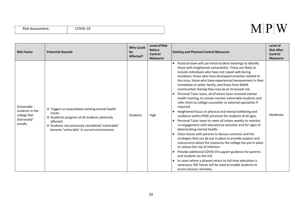|  | Risk Assessment: |
|--|------------------|
|--|------------------|

| <b>Risk Factor</b>                                                      | <b>Potential Hazards</b>                                                                                                                                                                                                      | <b>Who Could</b><br>be<br>Affected? | <b>Level of Risk</b><br><b>Before</b><br>Control<br><b>Measures</b> | <b>Existing and Planned Control Measures</b>                                                                                                                                                                                                                                                                                                                                                                                                                                                                                                                                                                                                                                                                                                                                                                                                                                                                                                                                                                                                                                                                                                                                                                                                                                                                                                                             | Level of<br><b>Risk After</b><br><b>Control</b><br><b>Measures</b> |
|-------------------------------------------------------------------------|-------------------------------------------------------------------------------------------------------------------------------------------------------------------------------------------------------------------------------|-------------------------------------|---------------------------------------------------------------------|--------------------------------------------------------------------------------------------------------------------------------------------------------------------------------------------------------------------------------------------------------------------------------------------------------------------------------------------------------------------------------------------------------------------------------------------------------------------------------------------------------------------------------------------------------------------------------------------------------------------------------------------------------------------------------------------------------------------------------------------------------------------------------------------------------------------------------------------------------------------------------------------------------------------------------------------------------------------------------------------------------------------------------------------------------------------------------------------------------------------------------------------------------------------------------------------------------------------------------------------------------------------------------------------------------------------------------------------------------------------------|--------------------------------------------------------------------|
| Vulnerable<br>students in the<br>college feel<br>distressed/<br>unsafe. | o Triggers or exacerbates existing mental health<br>issues.<br>O Academic progress of all students adversely<br>affected.<br>o Students not previously considered 'vulnerable'<br>become 'vulnerable' in current environment. | <b>Students</b>                     | High                                                                | Pastoral team will use initial student meetings to identify<br>those with heightened vulnerability. These are likely to<br>include individuals who have not coped well during<br>lockdown; those who have developed anxieties related to<br>the virus; those who have experienced bereavement in their<br>immediate or wider family; and those from BAME<br>communities fearing they may be at increased risk.<br>Personal Tutor team, all of whom have received mental<br>health training, to closely monitor vulnerable students and<br>refer them to college counsellor or external specialists if<br>required.<br>Heightened focus on physical and mental wellbeing and<br>resilience within PHSE provision for students of all ages.<br>Personal Tutor team to meet all tutees weekly to monitor<br>re-engagement with educational activities and for signs of<br>deteriorating mental health.<br>Close liaison with parents to discuss concerns and the<br>strategies that can be put in place to provide support and<br>reassurance about the measures the college has put in place<br>to reduce the risk of infection.<br>Provide additional COVID-19 support guidance for parents<br>and students on the VLE.<br>In cases where a phased return to full-time education is<br>necessary, MS Teams will be used to enable students to<br>access lessons remotely. | Moderate                                                           |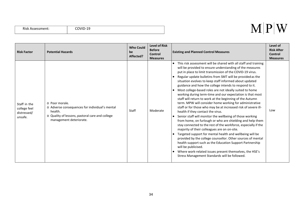|  | Risk Assessment: |
|--|------------------|
|--|------------------|

| <b>Risk Factor</b>                                     | <b>Potential Hazards</b>                                                                                                                                  | <b>Who Could</b><br>be<br>Affected? | <b>Level of Risk</b><br><b>Before</b><br>Control<br><b>Measures</b> | <b>Existing and Planned Control Measures</b>                                                                                                                                                                                                                                                                                                                                                                                                                                                                                                                                                                                                                                                                                                                                                                                                                                                                                                                                                                                                                                                                                                                                                                                                                                                         | Level of<br><b>Risk After</b><br>Control<br><b>Measures</b> |
|--------------------------------------------------------|-----------------------------------------------------------------------------------------------------------------------------------------------------------|-------------------------------------|---------------------------------------------------------------------|------------------------------------------------------------------------------------------------------------------------------------------------------------------------------------------------------------------------------------------------------------------------------------------------------------------------------------------------------------------------------------------------------------------------------------------------------------------------------------------------------------------------------------------------------------------------------------------------------------------------------------------------------------------------------------------------------------------------------------------------------------------------------------------------------------------------------------------------------------------------------------------------------------------------------------------------------------------------------------------------------------------------------------------------------------------------------------------------------------------------------------------------------------------------------------------------------------------------------------------------------------------------------------------------------|-------------------------------------------------------------|
| Staff in the<br>college feel<br>distressed/<br>unsafe. | o Poor morale.<br>o Adverse consequences for individual's mental<br>health.<br>o Quality of lessons, pastoral care and college<br>management deteriorate. | Staff                               | Moderate                                                            | This risk assessment will be shared with all staff and training<br>will be provided to ensure understanding of the measures<br>put in place to limit transmission of the COVID-19 virus.<br>Regular update bulletins from SMT will be provided as the<br>situation evolves to keep staff informed about updated<br>guidance and how the college intends to respond to it.<br>Most college-based roles are not ideally suited to home<br>working during term-time and our expectation is that most<br>staff will return to work at the beginning of the Autumn<br>term. MPW will consider home working for administrative<br>staff or for those who may be at increased risk of severe ill-<br>health if they contact the virus.<br>Senior staff will monitor the wellbeing of those working<br>from home, on furlough or who are shielding and help them<br>stay connected to the rest of the workforce, especially if the<br>majority of their colleagues are on on-site.<br>Targeted support for mental health and wellbeing will be<br>provided by the college counsellor. Other sources of mental<br>health support such as the Education Support Partnership<br>will be publicised.<br>Where work-related issues present themselves, the HSE's<br>Stress Management Standards will be followed. | Low                                                         |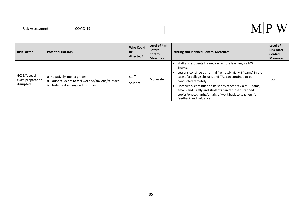| <b>Risk Assessment:</b> | $\mathbf{L}$<br>. .<br>-- |
|-------------------------|---------------------------|
|                         |                           |

#### $M|P|W$

| <b>Risk Factor</b>                             | <b>Potential Hazards</b>                                                                                                | <b>Who Could</b><br>be<br>Affected? | <b>Level of Risk</b><br><b>Before</b><br><b>Control</b><br><b>Measures</b> | <b>Existing and Planned Control Measures</b>                                                                                                                                                                                                                                                                                                                                                                      | Level of<br><b>Risk After</b><br><b>Control</b><br><b>Measures</b> |
|------------------------------------------------|-------------------------------------------------------------------------------------------------------------------------|-------------------------------------|----------------------------------------------------------------------------|-------------------------------------------------------------------------------------------------------------------------------------------------------------------------------------------------------------------------------------------------------------------------------------------------------------------------------------------------------------------------------------------------------------------|--------------------------------------------------------------------|
| GCSE/A Level<br>exam preparation<br>disrupted. | o Negatively impact grades.<br>o Cause students to feel worried/anxious/stressed.<br>o Students disengage with studies. | Staff<br>Student                    | Moderate                                                                   | Staff and students trained on remote learning via MS<br>Teams.<br>Lessons continue as normal (remotely via MS Teams) in the<br>case of a college closure, and TAs can continue to be<br>conducted remotely.<br>Homework continued to be set by teachers via MS Teams,<br>emails and Firefly and students can returned scanned<br>copies/photographs/emails of work back to teachers for<br>feedback and guidance. | Low                                                                |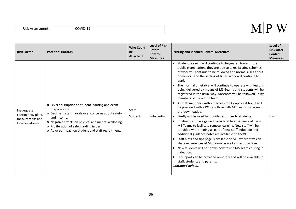|  | Risk Assessment: |
|--|------------------|
|--|------------------|

| <b>Risk Factor</b>                                                       | <b>Potential Hazards</b>                                                                                                                                                                                                                                                                          | <b>Who Could</b><br>be<br>Affected? | <b>Level of Risk</b><br><b>Before</b><br><b>Control</b><br><b>Measures</b> | <b>Existing and Planned Control Measures</b>                                                                                                                                                                                                                                                                                                                                                                                                                                                                                                                                                                                                                                                                                                                                                                                                                                                                                                                                                                                                                                                                                                                                                                                                                       | Level of<br><b>Risk After</b><br><b>Control</b><br><b>Measures</b> |
|--------------------------------------------------------------------------|---------------------------------------------------------------------------------------------------------------------------------------------------------------------------------------------------------------------------------------------------------------------------------------------------|-------------------------------------|----------------------------------------------------------------------------|--------------------------------------------------------------------------------------------------------------------------------------------------------------------------------------------------------------------------------------------------------------------------------------------------------------------------------------------------------------------------------------------------------------------------------------------------------------------------------------------------------------------------------------------------------------------------------------------------------------------------------------------------------------------------------------------------------------------------------------------------------------------------------------------------------------------------------------------------------------------------------------------------------------------------------------------------------------------------------------------------------------------------------------------------------------------------------------------------------------------------------------------------------------------------------------------------------------------------------------------------------------------|--------------------------------------------------------------------|
| Inadequate<br>contingency plans<br>for outbreaks and<br>local lockdowns. | o Severe disruption to student learning and exam<br>preparations.<br>o Decline in staff morale over concerns about safety<br>and income.<br>o Negative effects on physical and mental wellbeing.<br>o Proliferation of safeguarding issues.<br>o Adverse impact on student and staff recruitment. | Staff<br>Students                   | Substantial                                                                | Student learning will continue to be geared towards the<br>public examinations they are due to take. Existing schemes<br>of work will continue to be followed and normal rules about<br>homework and the setting of timed work will continue to<br>apply.<br>The 'normal timetable' will continue to operate with lessons<br>being delivered by means of MS Teams and students will be<br>registered in the usual way. Absences will be followed up by<br>members of the admin team<br>All staff members without access to PC/laptop at home will<br>be provided with a PC by college with MS Teams software<br>pre-downloaded.<br>Firefly will be used to provide resources to students.<br>Existing staff have gained considerable experience of using<br>MS Teams to facilitate remote learning. New staff will be<br>provided with training as part of new staff induction and<br>additional guidance notes are available on theVLE.<br>Staff hints and tips page is available on VLE where staff can<br>share experiences of MS Teams as well as best practices.<br>New students will be shown how to use MS Teams during in<br>induction.<br>IT Support can be provided remotely and will be available to<br>staff, students and parents.<br>Continued below | Low                                                                |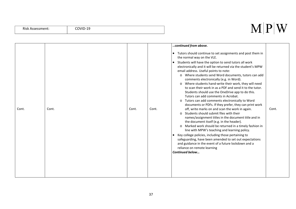#### Risk Assessment: COVID-19

| Cont. | Cont. | Cont. | Cont. | continued from above.<br>Tutors should continue to set assignments and post them in<br>$\bullet$<br>the normal way on the VLE.<br>• Students will have the option to send tutors all work<br>electronically and it will be returned via the student's MPW<br>email address. Useful points to note:<br>o Where students send Word documents, tutors can add<br>comments electronically (e.g. in Word).<br>o Where students hand-write their work, they will need<br>to scan their work in as a PDF and send it to the tutor.<br>Students should use the OneDrive app to do this.<br>Tutors can add comments in Acrobat.<br>o Tutors can add comments electronically to Word<br>documents or PDFs. If they prefer, they can print work<br>off, write marks on and scan the work in again.<br>o Students should submit files with their<br>names/assignment titles in the document title and in<br>the document itself (e.g. in the header).<br>o Marked work should be returned in a timely fashion in<br>line with MPW's teaching and learning policy.<br>Key college policies, including those pertaining to<br>$\bullet$<br>safeguarding, have been amended to set out expectations<br>and guidance in the event of a future lockdown and a<br>reliance on remote learning<br>Continued below | Cont. |
|-------|-------|-------|-------|------------------------------------------------------------------------------------------------------------------------------------------------------------------------------------------------------------------------------------------------------------------------------------------------------------------------------------------------------------------------------------------------------------------------------------------------------------------------------------------------------------------------------------------------------------------------------------------------------------------------------------------------------------------------------------------------------------------------------------------------------------------------------------------------------------------------------------------------------------------------------------------------------------------------------------------------------------------------------------------------------------------------------------------------------------------------------------------------------------------------------------------------------------------------------------------------------------------------------------------------------------------------------------------------|-------|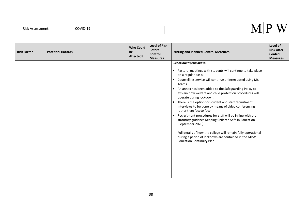| Risk Assessment: | COVID-19 |
|------------------|----------|
|                  |          |

| <b>Risk Factor</b> | <b>Potential Hazards</b> | <b>Who Could</b><br>be<br>Affected? | <b>Level of Risk</b><br><b>Before</b><br><b>Control</b><br><b>Measures</b> | <b>Existing and Planned Control Measures</b>                                                                                                                                                                                                                                                                                                                                                                                                                                                                                                                                                                                                                                                                                                                                                                                                              | Level of<br><b>Risk After</b><br><b>Control</b><br><b>Measures</b> |
|--------------------|--------------------------|-------------------------------------|----------------------------------------------------------------------------|-----------------------------------------------------------------------------------------------------------------------------------------------------------------------------------------------------------------------------------------------------------------------------------------------------------------------------------------------------------------------------------------------------------------------------------------------------------------------------------------------------------------------------------------------------------------------------------------------------------------------------------------------------------------------------------------------------------------------------------------------------------------------------------------------------------------------------------------------------------|--------------------------------------------------------------------|
|                    |                          |                                     |                                                                            | continued from above.<br>Pastoral meetings with students will continue to take place<br>$\bullet$<br>on a regular basis.<br>Counselling service will continue uninterrupted using MS<br>$\bullet$<br>Teams.<br>An annex has been added to the Safeguarding Policy to<br>$\bullet$<br>explain how welfare and child protection procedures will<br>operate during lockdown.<br>There is the option for student and staff recruitment<br>$\bullet$<br>interviews to be done by means of video conferencing<br>rather than faceto face.<br>Recruitment procedures for staff will be in line with the<br>$\bullet$<br>statutory guidance Keeping Children Safe in Education<br>(September 2020).<br>Full details of how the college will remain fully operational<br>during a period of lockdown are contained in the MPW<br><b>Education Continuity Plan.</b> |                                                                    |